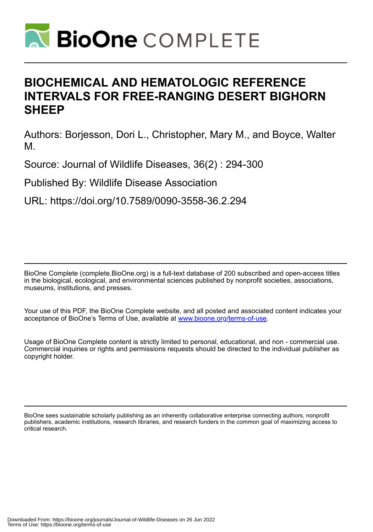

# **BIOCHEMICAL AND HEMATOLOGIC REFERENCE INTERVALS FOR FREE-RANGING DESERT BIGHORN SHEEP**

Authors: Borjesson, Dori L., Christopher, Mary M., and Boyce, Walter M.

Source: Journal of Wildlife Diseases, 36(2) : 294-300

Published By: Wildlife Disease Association

URL: https://doi.org/10.7589/0090-3558-36.2.294

BioOne Complete (complete.BioOne.org) is a full-text database of 200 subscribed and open-access titles in the biological, ecological, and environmental sciences published by nonprofit societies, associations, museums, institutions, and presses.

Your use of this PDF, the BioOne Complete website, and all posted and associated content indicates your acceptance of BioOne's Terms of Use, available at www.bioone.org/terms-of-use.

Usage of BioOne Complete content is strictly limited to personal, educational, and non - commercial use. Commercial inquiries or rights and permissions requests should be directed to the individual publisher as copyright holder.

BioOne sees sustainable scholarly publishing as an inherently collaborative enterprise connecting authors, nonprofit publishers, academic institutions, research libraries, and research funders in the common goal of maximizing access to critical research.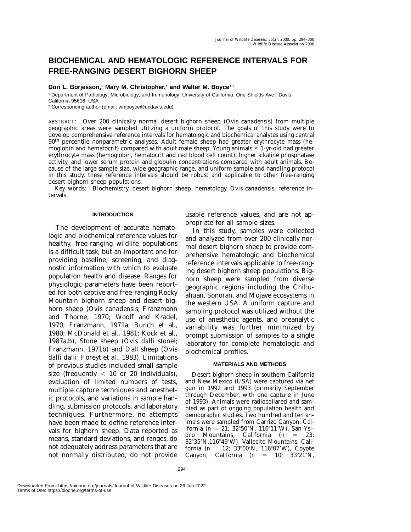## **BIOCHEMICAL AND HEMATOLOGIC REFERENCE INTERVALS FOR FREE-RANGING DESERT BIGHORN SHEEP**

### **Dori L. Borjesson,**<sup>1</sup> **Mary M. Christopher,**<sup>1</sup> **and Walter M. Boyce**1,2

<sup>1</sup> Department of Pathology, Microbiology, and Immunology, University of California, One Shields Ave., Davis, California 95616, USA

<sup>2</sup> Corresponding author (email: wmboyce@ucdavis.edu)

ABSTRACT: Over 200 clinically normal desert bighorn sheep (*Ovis canadensis*) from multiple geographic areas were sampled utilizing a uniform protocol. The goals of this study were to develop comprehensive reference intervals for hematologic and biochemical analytes using central 90th percentile nonparametric analyses. Adult female sheep had greater erythrocyte mass (hemoglobin and hematocrit) compared with adult male sheep. Young animals  $\leq 1$ -yr-old had greater erythrocyte mass (hemoglobin, hematocrit and red blood cell count), higher alkaline phosphatase activity, and lower serum protein and globulin concentrations compared with adult animals. Because of the large sample size, wide geographic range, and uniform sample and handling protocol in this study, these reference intervals should be robust and applicable to other free-ranging desert bighorn sheep populations.

*Key words:* Biochemistry, desert bighorn sheep, hematology, *Ovis canadensis,* reference intervals.

#### **INTRODUCTION**

The development of accurate hematologic and biochemical reference values for healthy, free-ranging wildlife populations is a difficult task, but an important one for providing baseline, screening, and diagnostic information with which to evaluate population health and disease. Ranges for physiologic parameters have been reported for both captive and free-ranging Rocky Mountain bighorn sheep and desert bighorn sheep (*Ovis canadensis*; Franzmann and Thorne, 1970; Woolf and Kradel, 1970; Franzmann, 1971a; Bunch et al., 1980; McDonald et al., 1981; Kock et al., 1987a,b), Stone sheep (*Ovis dalli stonei*; Franzmann, 1971b) and Dall sheep (*Ovis dalli dalli*; Foreyt et al., 1983). Limitations of previous studies included small sample size (frequently  $< 10$  or 20 individuals), evaluation of limited numbers of tests, multiple capture techniques and anesthetic protocols, and variations in sample handling, submission protocols, and laboratory techniques. Furthermore, no attempts have been made to define reference intervals for bighorn sheep. Data reported as means, standard deviations, and ranges, do not adequately address parameters that are not normally distributed, do not provide

usable reference values, and are not appropriate for all sample sizes.

In this study, samples were collected and analyzed from over 200 clinically normal desert bighorn sheep to provide comprehensive hematologic and biochemical reference intervals applicable to free-ranging desert bighorn sheep populations. Bighorn sheep were sampled from diverse geographic regions including the Chihuahuan, Sonoran, and Mojave ecosystems in the western USA. A uniform capture and sampling protocol was utilized without the use of anesthetic agents, and preanalytic variability was further minimized by prompt submission of samples to a single laboratory for complete hematologic and biochemical profiles.

#### **MATERIALS AND METHODS**

Desert bighorn sheep in southern California and New Mexico (USA) were captured via net gun in 1992 and 1993 (primarily September through December, with one capture in June of 1993). Animals were radiocollared and sampled as part of ongoing population health and demographic studies. Two hundred and ten animals were sampled from Carrizo Canyon, California (*n* = 21; 32°50′N, 116°11′W), San Ysidro Mountains, California (*n* = 23; 32°35'N,116°49'W), Vallecito Mountains, California (*n* = 12; 33°00′N, 116°07′W), Coyote Canyon, California  $(n = 10; 33^{\circ}21^{\prime}N,$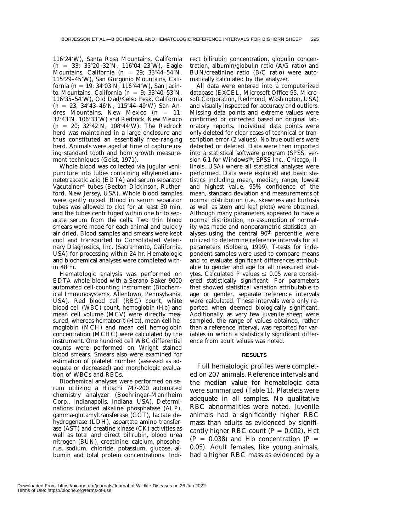11624W), Santa Rosa Mountains, California (*n* = 33; 33°20-32′N, 116°04-23′W), Eagle Mountains, California (*n* = 29; 33°44–54′N, 11529–45W), San Gorgonio Mountains, California (*n* = 19; 34°03′N, 116°44′W), San Jacinto Mountains, California ( $n = 9$ ; 33°40–53′N, 11635–54W), Old Dad/Kelso Peak, California (*n* = 23; 34°43-46'N, 115°44-49'W) San Andres Mountains, New Mexico (*n* = 11; 32°43'N, 106°33'W) and Redrock, New Mexico  $(n = 20; 32^{\circ}42'N, 108^{\circ}44'W)$ . The Redrock herd was maintained in a large enclosure and thus constituted an essentially free-ranging herd. Animals were aged at time of capture using standard tooth and horn growth measurement techniques (Geist, 1971).

Whole blood was collected via jugular venipuncture into tubes containing ethylenediaminetetraacetic acid (EDTA) and serum separator Vacutainer® tubes (Becton Dickinson, Rutherford, New Jersey, USA). Whole blood samples were gently mixed. Blood in serum separator tubes was allowed to clot for at least 30 min, and the tubes centrifuged within one hr to separate serum from the cells. Two thin blood smears were made for each animal and quickly air dried. Blood samples and smears were kept cool and transported to Consolidated Veterinary Diagnostics, Inc. (Sacramento, California, USA) for processing within 24 hr. Hematologic and biochemical analyses were completed within 48 hr.

Hematologic analysis was performed on EDTA whole blood with a Serano Baker 9000 automated cell-counting instrument (Biochemical Immunosystems, Allentown, Pennsylvania, USA). Red blood cell (RBC) count, white blood cell (WBC) count, hemoglobin (Hb) and mean cell volume (MCV) were directly measured, whereas hematocrit (Hct), mean cell hemoglobin (MCH) and mean cell hemoglobin concentration (MCHC) were calculated by the instrument. One hundred cell WBC differential counts were performed on Wright stained blood smears. Smears also were examined for estimation of platelet number (assessed as adequate or decreased) and morphologic evaluation of WBCs and RBCs.

Biochemical analyses were performed on serum utilizing a Hitachi 747-200 automated chemistry analyzer (Boehringer-Mannheim Corp., Indianapolis, Indiana, USA). Determinations included alkaline phosphatase (ALP), gamma-glutamyltransferase (GGT), lactate dehydrogenase (LDH), aspartate amino transferase (AST) and creatine kinase (CK) activities as well as total and direct bilirubin, blood urea nitrogen (BUN), creatinine, calcium, phosphorus, sodium, chloride, potassium, glucose, albumin and total protein concentrations. Indirect bilirubin concentration, globulin concentration, albumin/globulin ratio (A/G ratio) and BUN/creatinine ratio (B/C ratio) were automatically calculated by the analyzer.

All data were entered into a computerized database (EXCEL, Microsoft Office 95, Microsoft Corporation, Redmond, Washington, USA) and visually inspected for accuracy and outliers. Missing data points and extreme values were confirmed or corrected based on original laboratory reports. Individual data points were only deleted for clear cases of technical or transcription error (2 values). No true outliers were detected or deleted. Data were then imported into a statistical software program (SPSS, version 6.1 for Windows<sup>®</sup>, SPSS Inc., Chicago, Illinois, USA) where all statistical analyses were performed. Data were explored and basic statistics including mean, median, range, lowest and highest value, 95% confidence of the mean, standard deviation and measurements of normal distribution (i.e., skewness and kurtosis as well as stem and leaf plots) were obtained. Although many parameters appeared to have a normal distribution, no assumption of normality was made and nonparametric statistical analyses using the central 90<sup>th</sup> percentile were utilized to determine reference intervals for all parameters (Solberg, 1999). *T*-tests for independent samples were used to compare means and to evaluate significant differences attributable to gender and age for all measured analytes. Calculated *P* values  $\leq 0.05$  were considered statistically significant. For parameters that showed statistical variation attributable to age or gender, separate reference intervals were calculated. These intervals were only reported when deemed biologically significant. Additionally, as very few juvenile sheep were sampled, the range of values obtained, rather than a reference interval, was reported for variables in which a statistically significant difference from adult values was noted.

#### **RESULTS**

Full hematologic profiles were completed on 207 animals. Reference intervals and the median value for hematologic data were summarized (Table 1). Platelets were adequate in all samples. No qualitative RBC abnormalities were noted. Juvenile animals had a significantly higher RBC mass than adults as evidenced by significantly higher RBC count  $(P = 0.002)$ , Hct  $(P = 0.038)$  and Hb concentration  $(P =$ 0.05). Adult females, like young animals, had a higher RBC mass as evidenced by a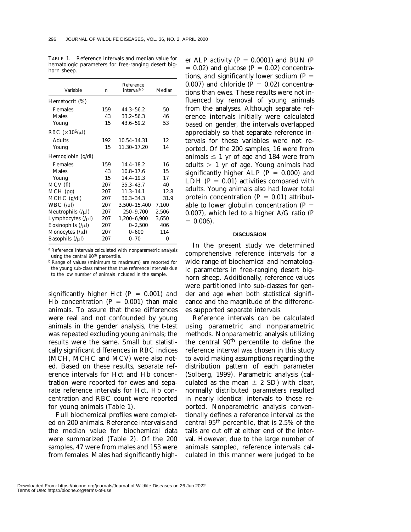| Variable                   | $\boldsymbol{n}$ | Reference<br>interval <sup>a,b</sup> | Median   |
|----------------------------|------------------|--------------------------------------|----------|
| Hematocrit (%)             |                  |                                      |          |
| Females                    | 159              | $44.3 - 56.2$                        | 50       |
| Males                      | 43               | $33.2 - 56.3$                        | 46       |
| Young                      | 15               | $43.6 - 59.2$                        | 53       |
| RBC $(\times 10^6/\mu l)$  |                  |                                      |          |
| <b>Adults</b>              | 192              | 10.54-14.31                          | 12       |
| Young                      | 15               | 11.30-17.20                          | 14       |
| Hemoglobin (g/dl)          |                  |                                      |          |
| Females                    | 159              | $14.4 - 18.2$                        | 16       |
| <b>Males</b>               | 43               | $10.8 - 17.6$                        | 15       |
| Young                      | 15               | $14.4 - 19.3$                        | 17       |
| MCV (fl)                   | 207              | $35.3 - 43.7$                        | 40       |
| $MCH$ (pg)                 | 207              | $11.3 - 14.1$                        | 12.8     |
| $MCHC$ (g/dl)              | 207              | $30.3 - 34.3$                        | 31.9     |
| $WBC$ (/ul)                | 207              | 3,500-15,400                         | 7,100    |
| Neutrophils $(\mu)$        | 207              | 250-9,700                            | 2,506    |
| Lymphocytes $($ / $\mu$ l) | 207              | 1,200-6,900                          | 3,650    |
| Eosinophils $($ / $\mu$ l) | 207              | $0 - 2,500$                          | 406      |
| Monocytes $(\mu l)$        | 207              | $0 - 600$                            | 114      |
| Basophils $($ / $\mu$ l)   | 207              | $0 - 70$                             | $\bf{0}$ |

TABLE 1. Reference intervals and median value for hematologic parameters for free-ranging desert bighorn sheep.

<sup>a</sup> Reference intervals calculated with nonparametric analysis using the central 90<sup>th</sup> percentile.

<sup>b</sup> Range of values (minimum to maximum) are reported for the young sub-class rather than true reference intervals due to the low number of animals included in the sample.

significantly higher Hct  $(P = 0.001)$  and Hb concentration  $(P = 0.001)$  than male animals. To assure that these differences were real and not confounded by young animals in the gender analysis, the *t*-test was repeated excluding young animals; the results were the same. Small but statistically significant differences in RBC indices (MCH, MCHC and MCV) were also noted. Based on these results, separate reference intervals for Hct and Hb concentration were reported for ewes and separate reference intervals for Hct, Hb concentration and RBC count were reported for young animals (Table 1).

Full biochemical profiles were completed on 200 animals. Reference intervals and the median value for biochemical data were summarized (Table 2). Of the 200 samples, 47 were from males and 153 were from females. Males had significantly high-

er ALP activity  $(P = 0.0001)$  and BUN  $(P)$  $= 0.02$ ) and glucose ( $P = 0.02$ ) concentrations, and significantly lower sodium  $(P =$  $(0.007)$  and chloride  $(P = 0.02)$  concentrations than ewes. These results were not influenced by removal of young animals from the analyses. Although separate reference intervals initially were calculated based on gender, the intervals overlapped appreciably so that separate reference intervals for these variables were not reported. Of the 200 samples, 16 were from animals  $\leq 1$  yr of age and 184 were from adults  $> 1$  yr of age. Young animals had significantly higher ALP  $(P = 0.000)$  and LDH  $(P = 0.01)$  activities compared with adults. Young animals also had lower total protein concentration  $(P = 0.01)$  attributable to lower globulin concentration  $(P =$ 0.007), which led to a higher A/G ratio (*P*  $= 0.006$ .

#### **DISCUSSION**

In the present study we determined comprehensive reference intervals for a wide range of biochemical and hematologic parameters in free-ranging desert bighorn sheep. Additionally, reference values were partitioned into sub-classes for gender and age when both statistical significance and the magnitude of the differences supported separate intervals.

Reference intervals can be calculated using parametric and nonparametric methods. Nonparametric analysis utilizing the central 90th percentile to define the reference interval was chosen in this study to avoid making assumptions regarding the distribution pattern of each parameter (Solberg, 1999). Parametric analysis (calculated as the mean  $\pm$  2 SD) with clear, normally distributed parameters resulted in nearly identical intervals to those reported. Nonparametric analysis conventionally defines a reference interval as the central 95th percentile, that is 2.5% of the tails are cut off at either end of the interval. However, due to the large number of animals sampled, reference intervals calculated in this manner were judged to be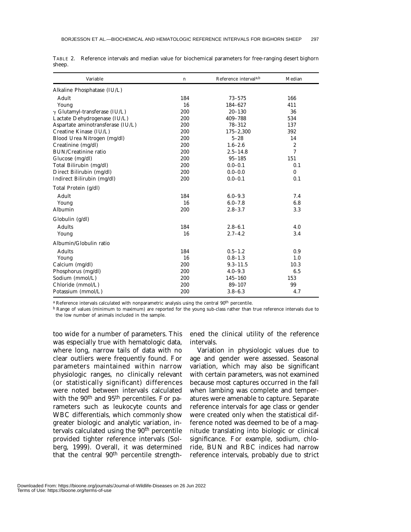| Variable                             | n   | Reference interval <sup>a,b</sup> | Median   |
|--------------------------------------|-----|-----------------------------------|----------|
| Alkaline Phosphatase (IU/L)          |     |                                   |          |
| Adult                                | 184 | $73 - 575$                        | 166      |
| Young                                | 16  | 184-627                           | 411      |
| $\gamma$ Glutamyl-transferase (IU/L) | 200 | $20 - 130$                        | 36       |
| Lactate Dehydrogenase (IU/L)         | 200 | 409-788                           | 534      |
| Aspartate aminotransferase (IU/L)    | 200 | 78-312                            | 137      |
| Creatine Kinase (IU/L)               | 200 | $175 - 2,300$                     | 392      |
| Blood Urea Nitrogen (mg/dl)          | 200 | $5 - 28$                          | 14       |
| Creatinine (mg/dl)                   | 200 | $1.6 - 2.6$                       | 2        |
| <b>BUN/Creatinine ratio</b>          | 200 | $2.5 - 14.8$                      | 7        |
| Glucose (mg/dl)                      | 200 | $95 - 185$                        | 151      |
| Total Bilirubin (mg/dl)              | 200 | $0.0 - 0.1$                       | 0.1      |
| Direct Bilirubin (mg/dl)             | 200 | $0.0 - 0.0$                       | $\bf{0}$ |
| Indirect Bilirubin (mg/dl)           | 200 | $0.0 - 0.1$                       | 0.1      |
| Total Protein (g/dl)                 |     |                                   |          |
| Adult                                | 184 | $6.0 - 9.3$                       | 7.4      |
| Young                                | 16  | $6.0 - 7.8$                       | 6.8      |
| Albumin                              | 200 | $2.8 - 3.7$                       | 3.3      |
| Globulin (g/dl)                      |     |                                   |          |
| <b>Adults</b>                        | 184 | $2.8 - 6.1$                       | 4.0      |
| Young                                | 16  | $2.7 - 4.2$                       | 3.4      |
| Albumin/Globulin ratio               |     |                                   |          |
| <b>Adults</b>                        | 184 | $0.5 - 1.2$                       | 0.9      |
| Young                                | 16  | $0.8 - 1.3$                       | 1.0      |
| Calcium (mg/dl)                      | 200 | $9.3 - 11.5$                      | 10.3     |
| Phosphorus (mg/dl)                   | 200 | $4.0 - 9.3$                       | 6.5      |
| Sodium (mmol/L)                      | 200 | 145-160                           | 153      |
| Chloride (mmol/L)                    | 200 | 89-107                            | 99       |
| Potassium (mmol/L)                   | 200 | $3.8 - 6.3$                       | 4.7      |

TABLE 2. Reference intervals and median value for biochemical parameters for free-ranging desert bighorn sheep.

<sup>a</sup> Reference intervals calculated with nonparametric analysis using the central 90<sup>th</sup> percentile.

<sup>b</sup> Range of values (minimum to maximum) are reported for the young sub-class rather than true reference intervals due to the low number of animals included in the sample.

too wide for a number of parameters. This was especially true with hematologic data, where long, narrow tails of data with no clear outliers were frequently found. For parameters maintained within narrow physiologic ranges, no clinically relevant (or statistically significant) differences were noted between intervals calculated with the 90<sup>th</sup> and 95<sup>th</sup> percentiles. For parameters such as leukocyte counts and WBC differentials, which commonly show greater biologic and analytic variation, intervals calculated using the 90<sup>th</sup> percentile provided tighter reference intervals (Solberg, 1999). Overall, it was determined that the central 90<sup>th</sup> percentile strengthened the clinical utility of the reference intervals.

Variation in physiologic values due to age and gender were assessed. Seasonal variation, which may also be significant with certain parameters, was not examined because most captures occurred in the fall when lambing was complete and temperatures were amenable to capture. Separate reference intervals for age class or gender were created only when the statistical difference noted was deemed to be of a magnitude translating into biologic or clinical significance. For example, sodium, chloride, BUN and RBC indices had narrow reference intervals, probably due to strict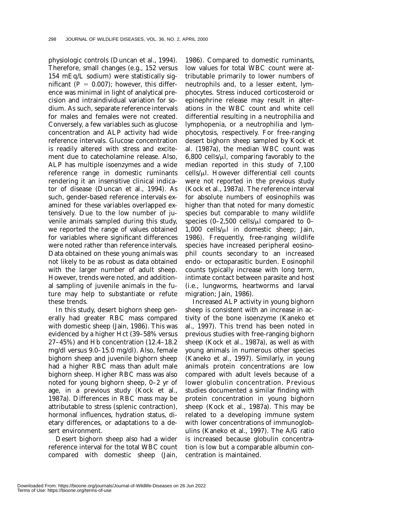physiologic controls (Duncan et al., 1994). Therefore, small changes (e.g., 152 versus 154 mEq/L sodium) were statistically significant  $(P = 0.007)$ ; however, this difference was minimal in light of analytical precision and intraindividual variation for sodium. As such, separate reference intervals for males and females were not created. Conversely, a few variables such as glucose concentration and ALP activity had wide reference intervals. Glucose concentration is readily altered with stress and excitement due to catecholamine release. Also, ALP has multiple isoenzymes and a wide reference range in domestic ruminants rendering it an insensitive clinical indicator of disease (Duncan et al., 1994). As such, gender-based reference intervals examined for these variables overlapped extensively. Due to the low number of juvenile animals sampled during this study, we reported the range of values obtained for variables where significant differences were noted rather than reference intervals. Data obtained on these young animals was not likely to be as robust as data obtained with the larger number of adult sheep. However, trends were noted, and additional sampling of juvenile animals in the future may help to substantiate or refute these trends.

In this study, desert bighorn sheep generally had greater RBC mass compared with domestic sheep (Jain, 1986). This was evidenced by a higher Hct (39–58% versus 27–45%) and Hb concentration (12.4–18.2 mg/dl versus 9.0–15.0 mg/dl). Also, female bighorn sheep and juvenile bighorn sheep had a higher RBC mass than adult male bighorn sheep. Higher RBC mass was also noted for young bighorn sheep, 0–2 yr of age, in a previous study (Kock et al., 1987a). Differences in RBC mass may be attributable to stress (splenic contraction), hormonal influences, hydration status, dietary differences, or adaptations to a desert environment.

Desert bighorn sheep also had a wider reference interval for the total WBC count compared with domestic sheep (Jain,

1986). Compared to domestic ruminants, low values for total WBC count were attributable primarily to lower numbers of neutrophils and, to a lesser extent, lymphocytes. Stress induced corticosteroid or epinephrine release may result in alterations in the WBC count and white cell differential resulting in a neutrophilia and lymphopenia, or a neutrophilia and lymphocytosis, respectively. For free-ranging desert bighorn sheep sampled by Kock et al. (1987a), the median WBC count was  $6,800$  cells/ $\mu$ l, comparing favorably to the median reported in this study of 7,100  $\text{cells/}\mu\text{l}$ . However differential cell counts were not reported in the previous study (Kock et al., 1987a). The reference interval for absolute numbers of eosinophils was higher than that noted for many domestic species but comparable to many wildlife species  $(0-2,500 \text{ cells/}\mu l \text{ compared to } 0-$ 1,000 cells/ $\mu$ l in domestic sheep; Jain, 1986). Frequently, free-ranging wildlife species have increased peripheral eosinophil counts secondary to an increased endo- or ectoparasitic burden. Eosinophil counts typically increase with long term, intimate contact between parasite and host (i.e., lungworms, heartworms and larval migration; Jain, 1986).

Increased ALP activity in young bighorn sheep is consistent with an increase in activity of the bone isoenzyme (Kaneko et al., 1997). This trend has been noted in previous studies with free-ranging bighorn sheep (Kock et al., 1987a), as well as with young animals in numerous other species (Kaneko et al., 1997). Similarly, in young animals protein concentrations are low compared with adult levels because of a lower globulin concentration. Previous studies documented a similar finding with protein concentration in young bighorn sheep (Kock et al., 1987a). This may be related to a developing immune system with lower concentrations of immunoglobulins (Kaneko et al., 1997). The A/G ratio is increased because globulin concentration is low but a comparable albumin concentration is maintained.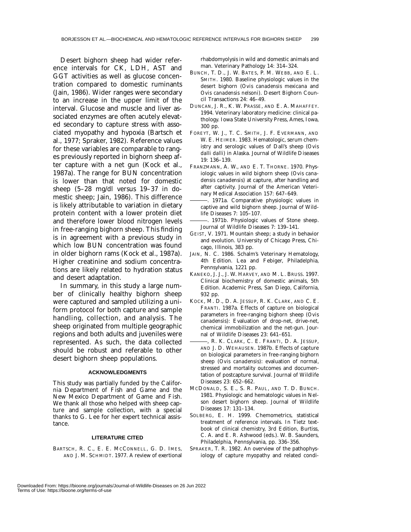Desert bighorn sheep had wider reference intervals for CK, LDH, AST and GGT activities as well as glucose concentration compared to domestic ruminants (Jain, 1986). Wider ranges were secondary to an increase in the upper limit of the interval. Glucose and muscle and liver associated enzymes are often acutely elevated secondary to capture stress with associated myopathy and hypoxia (Bartsch et al., 1977; Spraker, 1982). Reference values for these variables are comparable to ranges previously reported in bighorn sheep after capture with a net gun (Kock et al., 1987a). The range for BUN concentration is lower than that noted for domestic sheep (5–28 mg/dl versus 19–37 in domestic sheep; Jain, 1986). This difference is likely attributable to variation in dietary protein content with a lower protein diet and therefore lower blood nitrogen levels in free-ranging bighorn sheep. This finding is in agreement with a previous study in which low BUN concentration was found in older bighorn rams (Kock et al., 1987a). Higher creatinine and sodium concentrations are likely related to hydration status and desert adaptation.

In summary, in this study a large number of clinically healthy bighorn sheep were captured and sampled utilizing a uniform protocol for both capture and sample handling, collection, and analysis. The sheep originated from multiple geographic regions and both adults and juveniles were represented. As such, the data collected should be robust and referable to other desert bighorn sheep populations.

#### **ACKNOWLEDGMENTS**

This study was partially funded by the California Department of Fish and Game and the New Mexico Department of Game and Fish. We thank all those who helped with sheep capture and sample collection, with a special thanks to G. Lee for her expert technical assistance.

#### **LITERATURE CITED**

BARTSCH, R. C., E. E. MCCONNELL, G. D. IMES. AND J. M. SCHMIDT. 1977. A review of exertional rhabdomyolysis in wild and domestic animals and man. Veterinary Pathology 14: 314–324.

- BUNCH, T. D., J. W. BATES, P. M. WEBB, AND E. L. SMITH. 1980. Baseline physiologic values in the desert bighorn (*Ovis canadensis mexicana* and *Ovis canadensis nelsoni*). Desert Bighorn Council Transactions 24: 46–49.
- DUNCAN, J. R., K. W. PRASSE, AND E. A. MAHAFFEY. 1994. Veterinary laboratory medicine: clinical pathology. Iowa State University Press, Ames, Iowa, 300 pp.
- FOREYT, W. J., T. C. SMITH, J. F. EVERMANN, AND W. E. HEIMER. 1983. Hematologic, serum chemistry and serologic values of Dall's sheep (*Ovis dalli dalli*) in Alaska. Journal of Wildlife Diseases 19: 136–139.
- FRANZMANN, A. W., AND E. T. THORNE. 1970. Physiologic values in wild bighorn sheep (*Ovis canadensis canadensis*) at capture, after handling and after captivity. Journal of the American Veterinary Medical Association 157: 647–649.
- . 1971a. Comparative physiologic values in captive and wild bighorn sheep. Journal of Wildlife Diseases 7: 105–107.
- . 1971b. Physiologic values of Stone sheep. Journal of Wildlife Diseases 7: 139–141.
- GEIST, V. 1971. Mountain sheep; a study in behavior and evolution. University of Chicago Press, Chicago, Illinois, 383 pp.
- JAIN, N. C. 1986. Schalm's Veterinary Hematology, 4th Edition. Lea and Febiger, Philadelphia, Pennsylvania, 1221 pp.
- KANEKO, J. J., J. W. HARVEY, AND M. L. BRUSS. 1997. Clinical biochemistry of domestic animals, 5th Edition. Academic Press, San Diego, California, 932 pp.
- KOCK, M. D., D. A. JESSUP, R. K. CLARK, AND C. E. FRANTI. 1987a. Effects of capture on biological parameters in free-ranging bighorn sheep (*Ovis canadensis*): Evaluation of drop-net, drive-net, chemical immobilization and the net-gun. Journal of Wildlife Diseases 23: 641–651.
- , R. K. CLARK, C. E. FRANTI, D. A. JESSUP, AND J. D. WEHAUSEN. 1987b. Effects of capture on biological parameters in free-ranging bighorn sheep (*Ovis canadensis*): evaluation of normal, stressed and mortality outcomes and documentation of postcapture survival. Journal of Wildlife Diseases 23: 652–662.
- MCDONALD, S. E., S. R. PAUL, AND T. D. BUNCH. 1981. Physiologic and hematologic values in Nelson desert bighorn sheep. Journal of Wildlife Diseases 17: 131–134.
- SOLBERG, E. H. 1999. Chemometrics, statistical treatment of reference intervals. *In* Tietz textbook of clinical chemistry, 3rd Edition, Burtiss, C. A. and E. R. Ashwood (eds.). W. B. Saunders, Philadelphia, Pennsylvania, pp. 336–356.
- SPRAKER, T. R. 1982. An overview of the pathophysiology of capture myopathy and related condi-